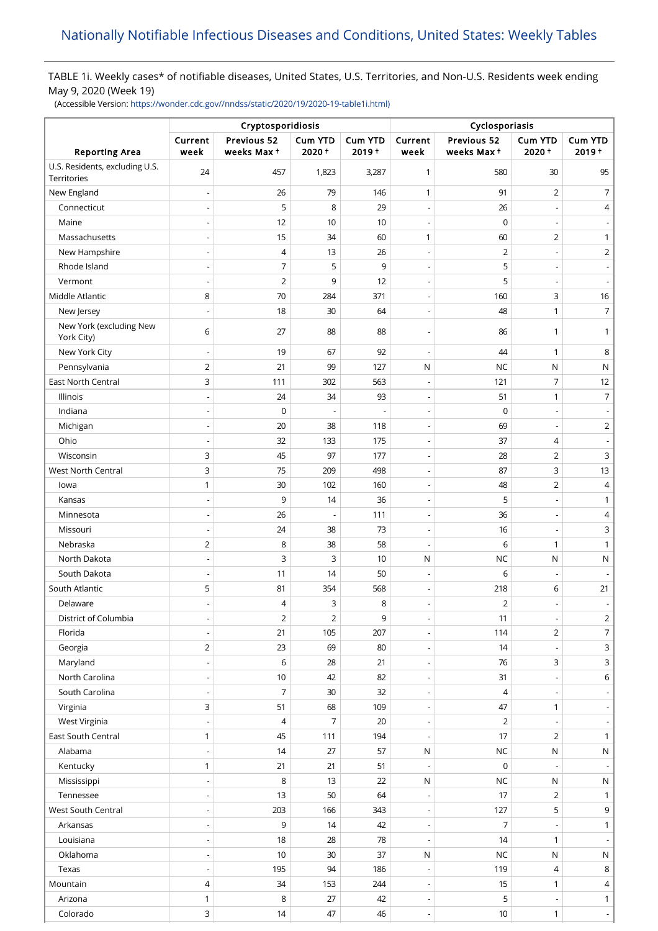## TABLE 1i. Weekly cases\* of notifiable diseases, United States, U.S. Territories, and Non-U.S. Residents week ending May 9, 2020 (Week 19)

(Accessible Version: [https://wonder.cdc.gov//nndss/static/2020/19/2020-19-table1i.html\)](https://wonder.cdc.gov//nndss/static/2020/19/2020-19-table1i.html)

|                                               | Cryptosporidiosis            |                           |                  |                            | Cyclosporiasis           |                           |                          |                            |
|-----------------------------------------------|------------------------------|---------------------------|------------------|----------------------------|--------------------------|---------------------------|--------------------------|----------------------------|
| <b>Reporting Area</b>                         | Current<br>week              | Previous 52<br>weeks Max+ | Cum YTD<br>2020+ | <b>Cum YTD</b><br>$2019 +$ | Current<br>week          | Previous 52<br>weeks Max+ | Cum YTD<br>2020+         | <b>Cum YTD</b><br>$2019 +$ |
| U.S. Residents, excluding U.S.<br>Territories | 24                           | 457                       | 1,823            | 3,287                      | 1                        | 580                       | 30                       | 95                         |
| New England                                   |                              | 26                        | 79               | 146                        | $\mathbf{1}$             | 91                        | 2                        | 7                          |
| Connecticut                                   |                              | 5                         | 8                | 29                         | $\overline{\phantom{m}}$ | 26                        |                          | $\overline{4}$             |
| Maine                                         | $\overline{a}$               | 12                        | 10               | 10                         | $\overline{a}$           | $\mathbf 0$               |                          |                            |
| Massachusetts                                 | $\qquad \qquad \blacksquare$ | 15                        | 34               | 60                         | $\mathbf{1}$             | 60                        | $\overline{2}$           | 1                          |
| New Hampshire                                 |                              | 4                         | 13               | 26                         | $\overline{\phantom{0}}$ | $\overline{2}$            | $\overline{\phantom{a}}$ | $\overline{2}$             |
| Rhode Island                                  |                              | 7                         | 5                | 9                          | $\overline{a}$           | 5                         |                          | $\overline{\phantom{a}}$   |
| Vermont                                       | $\overline{a}$               | $\overline{2}$            | 9                | 12                         | $\overline{a}$           | 5                         |                          | $\overline{\phantom{a}}$   |
| Middle Atlantic                               | 8                            | 70                        | 284              | 371                        | $\overline{a}$           | 160                       | 3                        | 16                         |
| New Jersey                                    | $\qquad \qquad \blacksquare$ | 18                        | 30               | 64                         | $\overline{\phantom{a}}$ | 48                        | $\mathbf{1}$             | $\overline{7}$             |
| New York (excluding New<br>York City)         | 6                            | 27                        | 88               | 88                         | $\overline{\phantom{a}}$ | 86                        | 1                        | 1                          |
| New York City                                 |                              | 19                        | 67               | 92                         | $\overline{a}$           | 44                        | $\mathbf{1}$             | 8                          |
| Pennsylvania                                  | $\overline{2}$               | 21                        | 99               | 127                        | N                        | <b>NC</b>                 | N                        | N                          |
| <b>East North Central</b>                     | 3                            | 111                       | 302              | 563                        | $\overline{a}$           | 121                       | 7                        | 12                         |
| Illinois                                      | $\overline{a}$               | 24                        | 34               | 93                         | $\overline{\phantom{a}}$ | 51                        | $\mathbf{1}$             | $\overline{7}$             |
| Indiana                                       | $\overline{a}$               | 0                         |                  | $\overline{\phantom{a}}$   | $\overline{\phantom{0}}$ | $\mathbf 0$               | $\overline{\phantom{a}}$ | $\overline{\phantom{a}}$   |
| Michigan                                      |                              | 20                        | 38               | 118                        | $\overline{\phantom{m}}$ | 69                        |                          | $\overline{2}$             |
| Ohio                                          | $\overline{\phantom{0}}$     | 32                        | 133              | 175                        | $\overline{a}$           | 37                        | $\overline{4}$           |                            |
| Wisconsin                                     | 3                            | 45                        | 97               | 177                        | $\overline{a}$           | 28                        | $\overline{2}$           | 3                          |
| West North Central                            | 3                            | 75                        | 209              | 498                        | $\overline{a}$           | 87                        | 3                        | 13                         |
| lowa                                          | 1                            | 30                        | 102              | 160                        | $\overline{\phantom{0}}$ | 48                        | $\overline{2}$           | 4                          |
| Kansas                                        |                              | 9                         | 14               | 36                         | $\overline{\phantom{a}}$ | 5                         |                          | 1                          |
| Minnesota                                     |                              | 26                        |                  | 111                        | $\overline{\phantom{0}}$ | 36                        |                          | 4                          |
| Missouri                                      | $\qquad \qquad \blacksquare$ | 24                        | 38               | 73                         | $\overline{\phantom{m}}$ | 16                        | $\overline{\phantom{a}}$ | 3                          |
| Nebraska                                      | 2                            | 8                         | 38               | 58                         | $\overline{a}$           | 6                         | $\mathbf{1}$             | $\mathbf{1}$               |
| North Dakota                                  |                              | 3                         | 3                | 10                         | N                        | <b>NC</b>                 | N                        | ${\sf N}$                  |
| South Dakota                                  | $\overline{a}$               | 11                        | 14               | 50                         | $\overline{\phantom{0}}$ | 6                         |                          |                            |
| South Atlantic                                | 5                            | 81                        | 354              | 568                        | $\overline{\phantom{m}}$ | 218                       | 6                        | $21$                       |
| Delaware                                      | $\overline{\phantom{0}}$     | 4                         | 3                | 8                          | $\overline{\phantom{a}}$ | $\overline{2}$            | $\overline{\phantom{a}}$ | $\overline{\phantom{a}}$   |
| District of Columbia                          | $\qquad \qquad \blacksquare$ | $\overline{2}$            | 2                | 9                          | $\overline{\phantom{m}}$ | 11                        | $\overline{\phantom{a}}$ | $\overline{2}$             |
| Florida                                       | $\overline{\phantom{0}}$     | 21                        | 105              | 207                        | $\overline{a}$           | 114                       | $\overline{2}$           | $\overline{7}$             |
| Georgia                                       | $\overline{2}$               | 23                        | 69               | 80                         | $\overline{\phantom{m}}$ | 14                        |                          | 3                          |
| Maryland                                      | $\qquad \qquad \blacksquare$ | 6                         | 28               | 21                         | $\overline{\phantom{a}}$ | 76                        | 3                        | $\mathsf{3}$               |
| North Carolina                                |                              | 10                        | 42               | 82                         |                          | 31                        |                          | 6                          |
| South Carolina                                |                              | $\overline{7}$            | 30               | 32                         | $\overline{\phantom{a}}$ | $\overline{4}$            |                          | $\overline{\phantom{a}}$   |
| Virginia                                      | 3                            | 51                        | 68               | 109                        | $\overline{a}$           | 47                        | $\mathbf{1}$             | $\overline{\phantom{a}}$   |
| West Virginia                                 | $\qquad \qquad \blacksquare$ | 4                         | 7                | 20                         | $\overline{\phantom{a}}$ | 2                         | $\overline{\phantom{a}}$ | $\overline{\phantom{a}}$   |
| East South Central                            | 1                            | 45                        | 111              | 194                        | $\overline{\phantom{a}}$ | 17                        | $\overline{2}$           | $\mathbf{1}$               |
| Alabama                                       |                              | 14                        | 27               | 57                         | $\mathsf{N}$             | <b>NC</b>                 | N                        | N                          |
| Kentucky                                      | $\mathbf{1}$                 | 21                        | 21               | 51                         | $\overline{a}$           | 0                         |                          |                            |
| Mississippi                                   | $\overline{a}$               | 8                         | 13               | 22                         | ${\sf N}$                | <b>NC</b>                 | N                        | $\mathsf{N}$               |
| Tennessee                                     | $\overline{\phantom{a}}$     | 13                        | 50               | 64                         | $\overline{a}$           | 17                        | $\overline{2}$           | $\mathbf{1}$               |
| West South Central                            |                              | 203                       | 166              | 343                        | $\overline{\phantom{m}}$ | 127                       | 5                        | 9                          |
| Arkansas                                      | $\qquad \qquad \blacksquare$ | 9                         | 14               | 42                         | $\overline{\phantom{a}}$ | $\overline{7}$            |                          | $\mathbf{1}$               |
| Louisiana                                     |                              | 18                        | 28               | 78                         |                          | 14                        | $\mathbf{1}$             |                            |
| Oklahoma                                      |                              | 10                        | $30\,$           | 37                         | $\mathsf{N}$             | <b>NC</b>                 | N                        | $\mathsf{N}$               |
| Texas                                         |                              | 195                       | 94               | 186                        | $\overline{a}$           | 119                       | $\overline{4}$           | 8                          |
| Mountain                                      | 4                            | 34                        | 153              | 244                        | $\overline{\phantom{a}}$ | 15                        | $\mathbf{1}$             | $\overline{4}$             |
| Arizona                                       | $\mathbf{1}$                 | 8                         | 27               | 42                         | $\overline{a}$           | 5                         |                          | $\mathbf{1}$               |
| Colorado                                      | 3                            | 14                        | 47               | 46                         | $\overline{\phantom{m}}$ | 10                        | $\mathbf{1}$             | $\sim$                     |